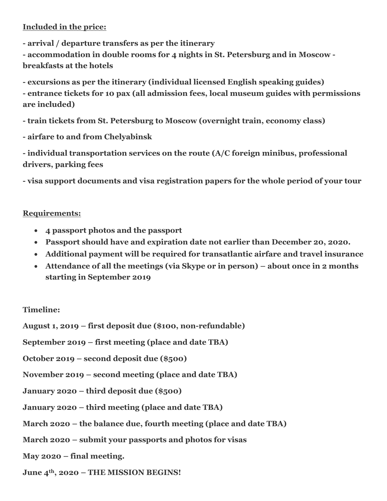### **Included in the price:**

**- arrival / departure transfers as per the itinerary**

**- accommodation in double rooms for 4 nights in St. Petersburg and in Moscow breakfasts at the hotels**

**- excursions as per the itinerary (individual licensed English speaking guides)**

**- entrance tickets for 10 pax (all admission fees, local museum guides with permissions are included)**

**- train tickets from St. Petersburg to Moscow (overnight train, economy class)** 

**- airfare to and from Chelyabinsk**

**- individual transportation services on the route (A/C foreign minibus, professional drivers, parking fees**

**- visa support documents and visa registration papers for the whole period of your tour**

### **Requirements:**

- **4 passport photos and the passport**
- **Passport should have and expiration date not earlier than December 20, 2020.**
- **Additional payment will be required for transatlantic airfare and travel insurance**
- **Attendance of all the meetings (via Skype or in person) – about once in 2 months starting in September 2019**

### **Timeline:**

**August 1, 2019 – first deposit due (\$100, non-refundable)**

**September 2019 – first meeting (place and date TBA)**

**October 2019 – second deposit due (\$500)**

- **November 2019 – second meeting (place and date TBA)**
- **January 2020 – third deposit due (\$500)**
- **January 2020 – third meeting (place and date TBA)**
- **March 2020 – the balance due, fourth meeting (place and date TBA)**
- **March 2020 – submit your passports and photos for visas**
- **May 2020 – final meeting.**
- **June 4th, 2020 – THE MISSION BEGINS!**